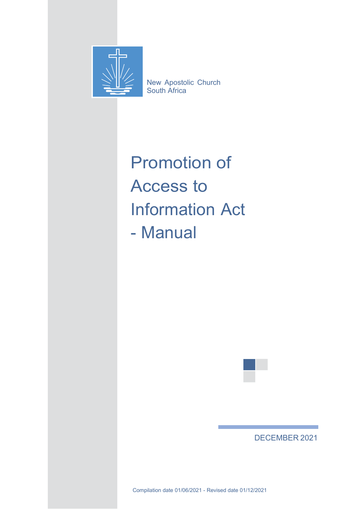

New Apostolic Church South Africa

# Promotion of Access to Information Act - Manual



# DECEMBER 2021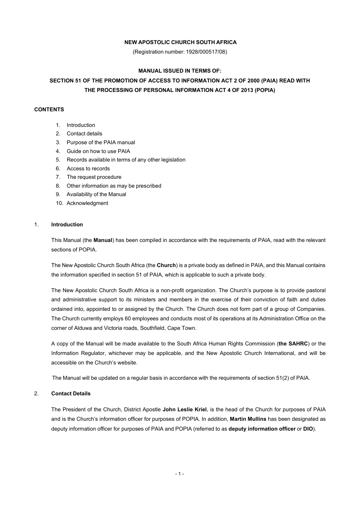#### **NEW APOSTOLIC CHURCH SOUTH AFRICA**

(Registration number: 1928/000517/08)

#### **MANUAL ISSUED IN TERMS OF:**

## **SECTION 51 OF THE PROMOTION OF ACCESS TO INFORMATION ACT 2 OF 2000 (PAIA) READ WITH THE PROCESSING OF PERSONAL INFORMATION ACT 4 OF 2013 (POPIA)**

#### **CONTENTS**

- 1. Introduction
- 2. Contact details
- 3. Purpose of the PAIA manual
- 4. Guide on how to use PAIA
- 5. Records available in terms of any other legislation
- 6. Access to records
- <span id="page-1-0"></span>7. The request procedure
- 8. Other information as may be prescribed
- 9. Availability of the Manual
- 10. Acknowledgment

#### 1. **Introduction**

This Manual (the **Manual**) has been compiled in accordance with the requirements of PAIA, read with the relevant sections of POPIA.

The New Apostolic Church South Africa (the **Church**) is a private body as defined in PAIA, and this Manual contains the information specified in section 51 of PAIA, which is applicable to such a private body.

The New Apostolic Church South Africa is a non-profit organization. The Church's purpose is to provide pastoral and administrative support to its ministers and members in the exercise of their conviction of faith and duties ordained into, appointed to or assigned by the Church. The Church does not form part of a group of Companies. The Church currently employs 60 employees and conducts most of its operations at its Administration Office on the corner of Alduwa and Victoria roads, Southfield, Cape Town.

A copy of the Manual will be made available to the South Africa Human Rights Commission (**the SAHRC**) or the Information Regulator, whichever may be applicable, and the New Apostolic Church International, and will be accessible on the Church's website.

The Manual will be updated on a regular basis in accordance with the requirements of section 51(2) of PAIA.

#### 2. **Contact Details**

The President of the Church, District Apostle **John Leslie Kriel**, is the head of the Church for purposes of PAIA and is the Church's information officer for purposes of POPIA. In addition, **Martin Mullins** has been designated as deputy information officer for purposes of PAIA and POPIA (referred to as **deputy information officer** or **DIO**).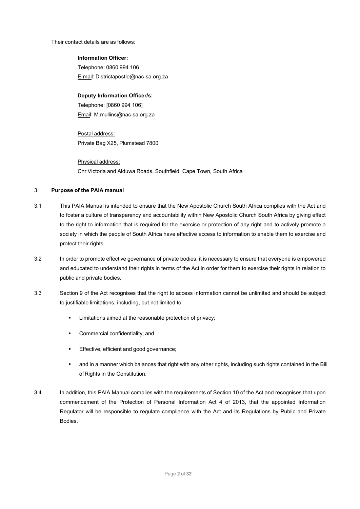Their contact details are as follows:

**Information Officer:** Telephone: 0860 994 106 E-mail: [Districtapostle@nac-sa.org.za](mailto:Districtapostle@nac-sa.org.za)

#### **Deputy Information Officer/s:**

Telephone: [0860 994 106] Email: [M.mullins@nac-sa.org.za](mailto:M.mullins@nac-sa.org.za)

Postal address: Private Bag X25, Plumstead 7800

Physical address: Cnr Victoria and Alduwa Roads, Southfield, Cape Town, South Africa

#### 3. **Purpose of the PAIA manual**

- 3.1 This PAIA Manual is intended to ensure that the New Apostolic Church South Africa complies with the Act and to foster a culture of transparency and accountability within New Apostolic Church South Africa by giving effect to the right to information that is required for the exercise or protection of any right and to actively promote a society in which the people of South Africa have effective access to information to enable them to exercise and protect their rights.
- 3.2 In order to promote effective governance of private bodies, it is necessary to ensure that everyone is empowered and educated to understand their rights in terms of the Act in order for them to exercise their rights in relation to public and private bodies.
- 3.3 Section 9 of the Act recognises that the right to access information cannot be unlimited and should be subject to justifiable limitations, including, but not limited to:
	- **EXECT** Limitations aimed at the reasonable protection of privacy;
	- **•** Commercial confidentiality; and
	- **Effective, efficient and good governance;**
	- and in a manner which balances that right with any other rights, including such rights contained in the Bill of Rights in the Constitution.
- 3.4 In addition, this PAIA Manual complies with the requirements of Section 10 of the Act and recognises that upon commencement of the Protection of Personal Information Act 4 of 2013, that the appointed Information Regulator will be responsible to regulate compliance with the Act and its Regulations by Public and Private Bodies.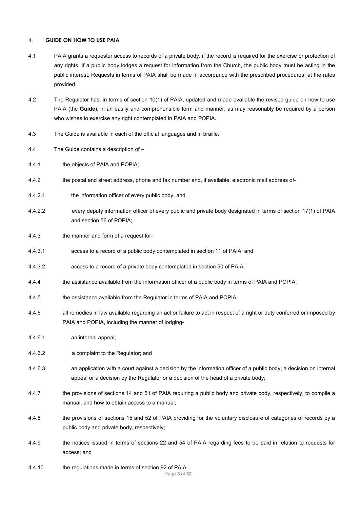#### 4. **GUIDE ON HOW TO USE PAIA**

- 4.1 PAIA grants a requester access to records of a private body, if the record is required for the exercise or protection of any rights. If a public body lodges a request for information from the Church, the public body must be acting in the public interest. Requests in terms of PAIA shall be made in accordance with the prescribed procedures, at the rates provided.
- 4.2 The Regulator has, in terms of section 10(1) of PAIA, updated and made available the revised guide on how to use PAIA (the **Guide**), in an easily and comprehensible form and manner, as may reasonably be required by a person who wishes to exercise any right contemplated in PAIA and POPIA.
- 4.3 The Guide is available in each of the official languages and in braille.
- 4.4 The Guide contains a description of –
- 4.4.1 the objects of PAIA and POPIA;
- 4.4.2 the postal and street address, phone and fax number and, if available, electronic mail address of-
- 4.4.2.1 the information officer of every public body, and
- 4.4.2.2 every deputy information officer of every public and private body designated in terms of section 17(1) of PAIA and section 56 of POPIA;
- 4.4.3 the manner and form of a request for-
- 4.4.3.1 access to a record of a public body contemplated in section 11 of PAIA; and
- 4.4.3.2 access to a record of a private body contemplated in section 50 of PAIA;
- 4.4.4 the assistance available from the information officer of a public body in terms of PAIA and POPIA;
- 4.4.5 the assistance available from the Regulator in terms of PAIA and POPIA;
- 4.4.6 all remedies in law available regarding an act or failure to act in respect of a right or duty conferred or imposed by PAIA and POPIA, including the manner of lodging-
- 4.4.6.1 an internal appeal;
- 4.4.6.2 a complaint to the Regulator; and
- 4.4.6.3 an application with a court against a decision by the information officer of a public body, a decision on internal appeal or a decision by the Regulator or a decision of the head of a private body;
- 4.4.7 the provisions of sections 14 and 51 of PAIA requiring a public body and private body, respectively, to compile a manual, and how to obtain access to a manual;
- 4.4.8 the provisions of sections 15 and 52 of PAIA providing for the voluntary disclosure of categories of records by a public body and private body, respectively;
- 4.4.9 the notices issued in terms of sections 22 and 54 of PAIA regarding fees to be paid in relation to requests for access; and
- Page **3** of **32** 4.4.10 the regulations made in terms of section 92 of PAIA.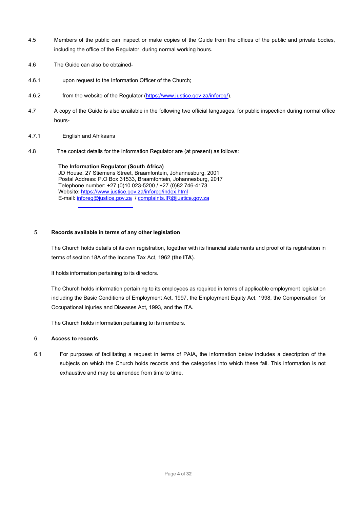- 4.5 Members of the public can inspect or make copies of the Guide from the offices of the public and private bodies, including the office of the Regulator, during normal working hours.
- 4.6 The Guide can also be obtained-
- 4.6.1 upon request to the Information Officer of the Church;
- 4.6.2 from the website of the Regulator [\(https://www.justice.gov.za/inforeg/\)](https://www.justice.gov.za/inforeg/).
- 4.7 A copy of the Guide is also available in the following two official languages, for public inspection during normal office hours-
- 4.7.1 English and Afrikaans
- 4.8 The contact details for the Information Regulator are (at present) as follows:

#### **The Information Regulator (South Africa)**

JD House, 27 Stiemens Street, Braamfontein, Johannesburg, 2001 Postal Address: P.O Box 31533, Braamfontein, Johannesburg, 2017 Telephone number: +27 (0)10 023-5200 / +27 (0)82 746-4173 Website:<https://www.justice.gov.za/inforeg/index.html> E-mail: [inforeg@justice.gov.za](mailto:inforeg@justice.gov.za) / [complaints.IR@justice.gov.za](mailto:complaints.IR@justice.gov.za)

#### 5. **Records available in terms of any other legislation**

The Church holds details of its own registration, together with its financial statements and proof of its registration in terms of section 18A of the Income Tax Act, 1962 (**the ITA**).

It holds information pertaining to its directors.

The Church holds information pertaining to its employees as required in terms of applicable employment legislation including the Basic Conditions of Employment Act, 1997, the Employment Equity Act, 1998, the Compensation for Occupational Injuries and Diseases Act, 1993, and the ITA.

The Church holds information pertaining to its members.

#### 6. **Access to records**

6.1 For purposes of facilitating a request in terms of PAIA, the information below includes a description of the subjects on which the Church holds records and the categories into which these fall. This information is not exhaustive and may be amended from time to time.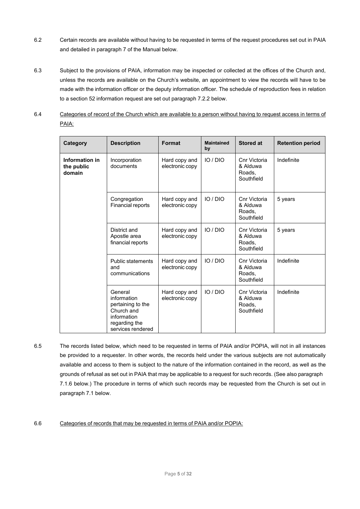- 6.2 Certain records are available without having to be requested in terms of the request procedures set out in PAIA and detailed in paragraph [7 o](#page-1-0)f the Manual below.
- 6.3 Subject to the provisions of PAIA, information may be inspected or collected at the offices of the Church and, unless the records are available on the Church's website, an appointment to view the records will have to be made with the information officer or the deputy information officer. The schedule of reproduction fees in relation to a section 52 information request are set out paragraph 7.2.2 below.
- 6.4 Categories of record of the Church which are available to a person without having to request access in terms of PAIA:

| Category                               | <b>Description</b>                                                                                             | <b>Format</b>                    | <b>Maintained</b><br>by | <b>Stored at</b>                                 | <b>Retention period</b> |
|----------------------------------------|----------------------------------------------------------------------------------------------------------------|----------------------------------|-------------------------|--------------------------------------------------|-------------------------|
| Information in<br>the public<br>domain | Incorporation<br>documents                                                                                     | Hard copy and<br>electronic copy | IO/DIO                  | Cnr Victoria<br>& Alduwa<br>Roads,<br>Southfield | Indefinite              |
|                                        | Congregation<br>Financial reports                                                                              | Hard copy and<br>electronic copy | IO/DIO                  | Cnr Victoria<br>& Alduwa<br>Roads.<br>Southfield | 5 years                 |
|                                        | District and<br>Apostle area<br>financial reports                                                              | Hard copy and<br>electronic copy | IO/DIO                  | Cnr Victoria<br>& Alduwa<br>Roads.<br>Southfield | 5 years                 |
|                                        | <b>Public statements</b><br>and<br>communications                                                              | Hard copy and<br>electronic copy | IO/DIO                  | Cnr Victoria<br>& Alduwa<br>Roads.<br>Southfield | Indefinite              |
|                                        | General<br>information<br>pertaining to the<br>Church and<br>information<br>regarding the<br>services rendered | Hard copy and<br>electronic copy | IO/DIO                  | Cnr Victoria<br>& Alduwa<br>Roads,<br>Southfield | Indefinite              |

6.5 The records listed below, which need to be requested in terms of PAIA and/or POPIA, will not in all instances be provided to a requester. In other words, the records held under the various subjects are not automatically available and access to them is subject to the nature of the information contained in the record, as well as the grounds of refusal as set out in PAIA that may be applicable to a request for such records. (See also paragraph 7.1.6 below.) The procedure in terms of which such records may be requested from the Church is set out in paragraph 7.1 below.

#### 6.6 Categories of records that may be requested in terms of PAIA and/or POPIA: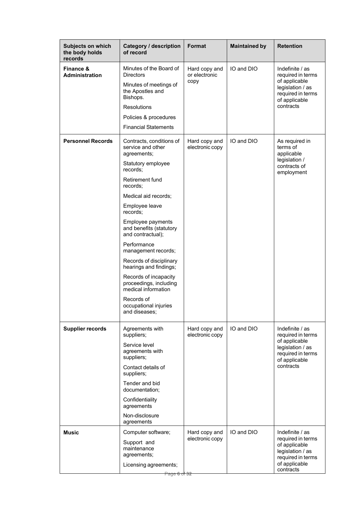| <b>Subjects on which</b><br>the body holds<br>records | <b>Category / description</b><br>of record                                                                                                                                                                                                                                                                                                                                                                                                                                            | <b>Format</b>                          | <b>Maintained by</b> | <b>Retention</b>                                                                                                             |
|-------------------------------------------------------|---------------------------------------------------------------------------------------------------------------------------------------------------------------------------------------------------------------------------------------------------------------------------------------------------------------------------------------------------------------------------------------------------------------------------------------------------------------------------------------|----------------------------------------|----------------------|------------------------------------------------------------------------------------------------------------------------------|
| Finance &<br><b>Administration</b>                    | Minutes of the Board of<br><b>Directors</b><br>Minutes of meetings of<br>the Apostles and<br>Bishops.<br><b>Resolutions</b><br>Policies & procedures<br><b>Financial Statements</b>                                                                                                                                                                                                                                                                                                   | Hard copy and<br>or electronic<br>copy | IO and DIO           | Indefinite / as<br>required in terms<br>of applicable<br>legislation / as<br>required in terms<br>of applicable<br>contracts |
| <b>Personnel Records</b>                              | Contracts, conditions of<br>service and other<br>agreements;<br>Statutory employee<br>records:<br>Retirement fund<br>records:<br>Medical aid records;<br>Employee leave<br>records:<br>Employee payments<br>and benefits (statutory<br>and contractual);<br>Performance<br>management records;<br>Records of disciplinary<br>hearings and findings;<br>Records of incapacity<br>proceedings, including<br>medical information<br>Records of<br>occupational injuries<br>and diseases; | Hard copy and<br>electronic copy       | IO and DIO           | As required in<br>terms of<br>applicable<br>legislation /<br>contracts of<br>employment                                      |
| <b>Supplier records</b>                               | Agreements with<br>suppliers;<br>Service level<br>agreements with<br>suppliers;<br>Contact details of<br>suppliers;<br>Tender and bid<br>documentation;<br>Confidentiality<br>agreements<br>Non-disclosure<br>agreements                                                                                                                                                                                                                                                              | Hard copy and<br>electronic copy       | IO and DIO           | Indefinite / as<br>required in terms<br>of applicable<br>legislation / as<br>required in terms<br>of applicable<br>contracts |
| <b>Music</b>                                          | Computer software;<br>Support and<br>maintenance<br>agreements;<br>Licensing agreements;<br><del>Page 6 of 32</del>                                                                                                                                                                                                                                                                                                                                                                   | Hard copy and<br>electronic copy       | IO and DIO           | Indefinite / as<br>required in terms<br>of applicable<br>legislation / as<br>required in terms<br>of applicable<br>contracts |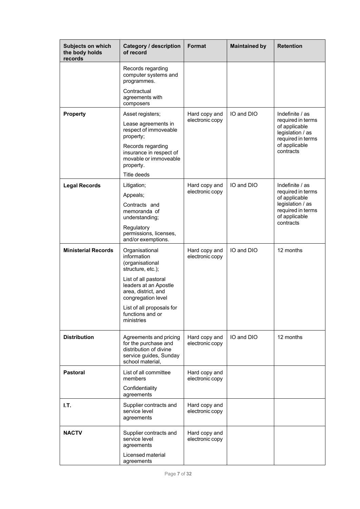| <b>Subjects on which</b><br>the body holds<br>records | Category / description<br>of record                                                                                                                                                                                                | <b>Format</b>                    | <b>Maintained by</b> | <b>Retention</b>                                                                                                             |
|-------------------------------------------------------|------------------------------------------------------------------------------------------------------------------------------------------------------------------------------------------------------------------------------------|----------------------------------|----------------------|------------------------------------------------------------------------------------------------------------------------------|
|                                                       | Records regarding<br>computer systems and<br>programmes.<br>Contractual<br>agreements with<br>composers                                                                                                                            |                                  |                      |                                                                                                                              |
| <b>Property</b>                                       | Asset registers;<br>Lease agreements in<br>respect of immoveable<br>property;<br>Records regarding<br>insurance in respect of<br>movable or immoveable<br>property.<br>Title deeds                                                 | Hard copy and<br>electronic copy | IO and DIO           | Indefinite / as<br>required in terms<br>of applicable<br>legislation / as<br>required in terms<br>of applicable<br>contracts |
| <b>Legal Records</b>                                  | Litigation;<br>Appeals;<br>Contracts and<br>memoranda of<br>understanding;<br>Regulatory<br>permissions, licenses,<br>and/or exemptions.                                                                                           | Hard copy and<br>electronic copy | IO and DIO           | Indefinite / as<br>required in terms<br>of applicable<br>legislation / as<br>required in terms<br>of applicable<br>contracts |
| <b>Ministerial Records</b>                            | Organisational<br>information<br>(organisational<br>structure, etc.);<br>List of all pastoral<br>leaders at an Apostle<br>area, district, and<br>congregation level<br>List of all proposals for<br>functions and or<br>ministries | Hard copy and<br>electronic copy | IO and DIO           | 12 months                                                                                                                    |
| <b>Distribution</b>                                   | Agreements and pricing<br>for the purchase and<br>distribution of divine<br>service guides, Sunday<br>school material,                                                                                                             | Hard copy and<br>electronic copy | IO and DIO           | 12 months                                                                                                                    |
| <b>Pastoral</b>                                       | List of all committee<br>members<br>Confidentiality<br>agreements                                                                                                                                                                  | Hard copy and<br>electronic copy |                      |                                                                                                                              |
| I.T.                                                  | Supplier contracts and<br>service level<br>agreements                                                                                                                                                                              | Hard copy and<br>electronic copy |                      |                                                                                                                              |
| <b>NACTV</b>                                          | Supplier contracts and<br>service level<br>agreements<br>Licensed material<br>agreements                                                                                                                                           | Hard copy and<br>electronic copy |                      |                                                                                                                              |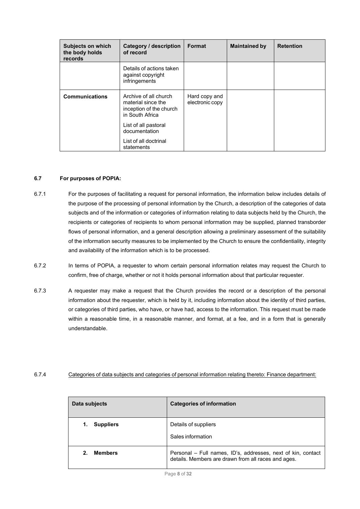| <b>Subjects on which</b><br>the body holds<br>records | Category / description<br>of record                                                       | Format                           | <b>Maintained by</b> | <b>Retention</b> |
|-------------------------------------------------------|-------------------------------------------------------------------------------------------|----------------------------------|----------------------|------------------|
|                                                       | Details of actions taken<br>against copyright<br>infringements                            |                                  |                      |                  |
| <b>Communications</b>                                 | Archive of all church<br>material since the<br>inception of the church<br>in South Africa | Hard copy and<br>electronic copy |                      |                  |
|                                                       | List of all pastoral<br>documentation                                                     |                                  |                      |                  |
|                                                       | List of all doctrinal<br>statements                                                       |                                  |                      |                  |

#### **6.7 For purposes of POPIA:**

- 6.7.1 For the purposes of facilitating a request for personal information, the information below includes details of the purpose of the processing of personal information by the Church, a description of the categories of data subjects and of the information or categories of information relating to data subjects held by the Church, the recipients or categories of recipients to whom personal information may be supplied, planned transborder flows of personal information, and a general description allowing a preliminary assessment of the suitability of the information security measures to be implemented by the Church to ensure the confidentiality, integrity and availability of the information which is to be processed.
- 6.7.2 In terms of POPIA, a requester to whom certain personal information relates may request the Church to confirm, free of charge, whether or not it holds personal information about that particular requester.
- 6.7.3 A requester may make a request that the Church provides the record or a description of the personal information about the requester, which is held by it, including information about the identity of third parties, or categories of third parties, who have, or have had, access to the information. This request must be made within a reasonable time, in a reasonable manner, and format, at a fee, and in a form that is generally understandable.

#### 6.7.4 Categories of data subjects and categories of personal information relating thereto: Finance department:

| Data subjects    | <b>Categories of information</b>                                                                                    |
|------------------|---------------------------------------------------------------------------------------------------------------------|
| <b>Suppliers</b> | Details of suppliers<br>Sales information                                                                           |
| <b>Members</b>   | Personal - Full names, ID's, addresses, next of kin, contact<br>details. Members are drawn from all races and ages. |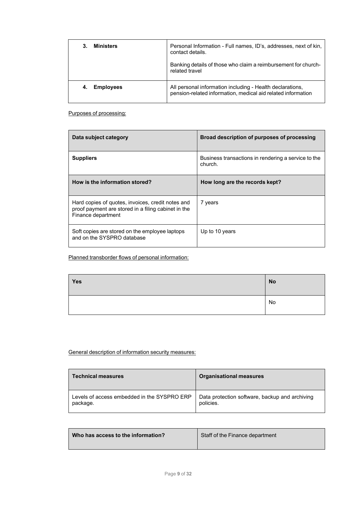| <b>Ministers</b> | Personal Information - Full names, ID's, addresses, next of kin,<br>contact details.<br>Banking details of those who claim a reimbursement for church-<br>related travel |
|------------------|--------------------------------------------------------------------------------------------------------------------------------------------------------------------------|
| <b>Employees</b> | All personal information including - Health declarations,                                                                                                                |
| 4.               | pension-related information, medical aid related information                                                                                                             |

Purposes of processing:

| Data subject category                                                                                                          | Broad description of purposes of processing                    |
|--------------------------------------------------------------------------------------------------------------------------------|----------------------------------------------------------------|
| <b>Suppliers</b>                                                                                                               | Business transactions in rendering a service to the<br>church. |
| How is the information stored?                                                                                                 | How long are the records kept?                                 |
| Hard copies of quotes, invoices, credit notes and<br>proof payment are stored in a filing cabinet in the<br>Finance department | 7 years                                                        |
| Soft copies are stored on the employee laptops<br>and on the SYSPRO database                                                   | Up to 10 years                                                 |

Planned transborder flows of personal information:

| Yes | No              |
|-----|-----------------|
|     | <sup>I</sup> No |

## General description of information security measures:

| <b>Technical measures</b>                   | <b>Organisational measures</b>                 |
|---------------------------------------------|------------------------------------------------|
| Levels of access embedded in the SYSPRO ERP | Data protection software, backup and archiving |
| package.                                    | policies.                                      |

| Staff of the Finance department<br>Who has access to the information? |
|-----------------------------------------------------------------------|
|-----------------------------------------------------------------------|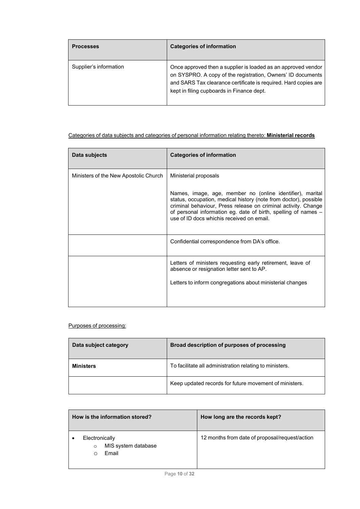| <b>Processes</b>       | <b>Categories of information</b>                                                                                                                                                                                                             |
|------------------------|----------------------------------------------------------------------------------------------------------------------------------------------------------------------------------------------------------------------------------------------|
| Supplier's information | Once approved then a supplier is loaded as an approved vendor<br>on SYSPRO. A copy of the registration, Owners' ID documents<br>and SARS Tax clearance certificate is required. Hard copies are<br>kept in filing cupboards in Finance dept. |

## Categories of data subjects and categories of personal information relating thereto: **Ministerial records**

| Data subjects                         | <b>Categories of information</b>                                                                                                                                                                                                                                                                                |
|---------------------------------------|-----------------------------------------------------------------------------------------------------------------------------------------------------------------------------------------------------------------------------------------------------------------------------------------------------------------|
| Ministers of the New Apostolic Church | Ministerial proposals                                                                                                                                                                                                                                                                                           |
|                                       | Names, image, age, member no (online identifier), marital<br>status, occupation, medical history (note from doctor), possible<br>criminal behaviour, Press release on criminal activity. Change<br>of personal information eg. date of birth, spelling of names -<br>use of ID docs which is received on email. |
|                                       | Confidential correspondence from DA's office.                                                                                                                                                                                                                                                                   |
|                                       | Letters of ministers requesting early retirement, leave of<br>absence or resignation letter sent to AP.                                                                                                                                                                                                         |
|                                       | Letters to inform congregations about ministerial changes                                                                                                                                                                                                                                                       |
|                                       |                                                                                                                                                                                                                                                                                                                 |

## Purposes of processing:

| Data subject category | Broad description of purposes of processing             |
|-----------------------|---------------------------------------------------------|
| <b>Ministers</b>      | To facilitate all administration relating to ministers. |
|                       | Keep updated records for future movement of ministers.  |

| How is the information stored?                            | How long are the records kept?                 |
|-----------------------------------------------------------|------------------------------------------------|
| Electronically<br>MIS system database<br>$\circ$<br>Email | 12 months from date of proposal/request/action |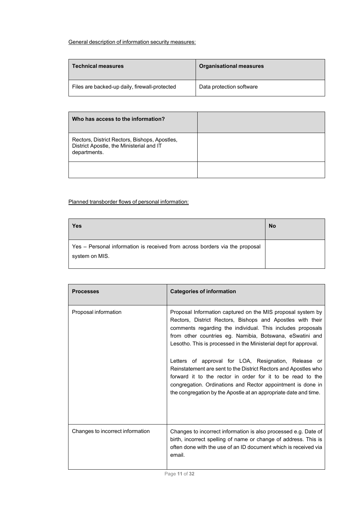## General description of information security measures:

| <b>Technical measures</b>                     | <b>Organisational measures</b> |
|-----------------------------------------------|--------------------------------|
| Files are backed-up daily, firewall-protected | Data protection software       |

| Who has access to the information?                                                                        |  |
|-----------------------------------------------------------------------------------------------------------|--|
| Rectors, District Rectors, Bishops, Apostles,<br>District Apostle, the Ministerial and IT<br>departments. |  |
|                                                                                                           |  |

## Planned transborder flows of personal information:

| Yes                                                                                           | <b>No</b> |
|-----------------------------------------------------------------------------------------------|-----------|
| Yes - Personal information is received from across borders via the proposal<br>system on MIS. |           |

| <b>Processes</b>                 | <b>Categories of information</b>                                                                                                                                                                                                                                                                                                                                                                                                                                                                                                                                                                                                                    |
|----------------------------------|-----------------------------------------------------------------------------------------------------------------------------------------------------------------------------------------------------------------------------------------------------------------------------------------------------------------------------------------------------------------------------------------------------------------------------------------------------------------------------------------------------------------------------------------------------------------------------------------------------------------------------------------------------|
| Proposal information             | Proposal Information captured on the MIS proposal system by<br>Rectors, District Rectors, Bishops and Apostles with their<br>comments regarding the individual. This includes proposals<br>from other countries eg. Namibia, Botswana, eSwatini and<br>Lesotho. This is processed in the Ministerial dept for approval.<br>Letters of approval for LOA, Resignation, Release or<br>Reinstatement are sent to the District Rectors and Apostles who<br>forward it to the rector in order for it to be read to the<br>congregation. Ordinations and Rector appointment is done in<br>the congregation by the Apostle at an appropriate date and time. |
| Changes to incorrect information | Changes to incorrect information is also processed e.g. Date of<br>birth, incorrect spelling of name or change of address. This is<br>often done with the use of an ID document which is received via<br>email.                                                                                                                                                                                                                                                                                                                                                                                                                                     |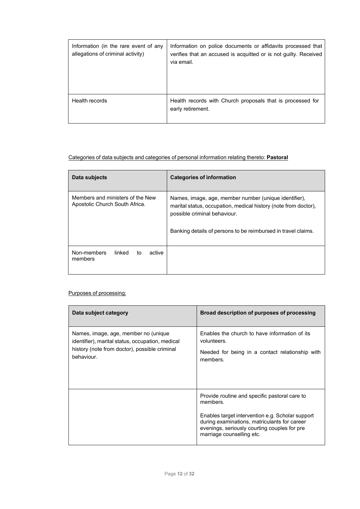| Information (in the rare event of any<br>allegations of criminal activity) | Information on police documents or affidavits processed that<br>verifies that an accused is acquitted or is not guilty. Received<br>via email. |
|----------------------------------------------------------------------------|------------------------------------------------------------------------------------------------------------------------------------------------|
| Health records                                                             | Health records with Church proposals that is processed for<br>early retirement.                                                                |

## Categories of data subjects and categories of personal information relating thereto: **Pastoral**

| Data subjects                                                      | <b>Categories of information</b>                                                                                                                                                                                          |
|--------------------------------------------------------------------|---------------------------------------------------------------------------------------------------------------------------------------------------------------------------------------------------------------------------|
| Members and ministers of the New<br>Apostolic Church South Africa. | Names, image, age, member number (unique identifier),<br>marital status, occupation, medical history (note from doctor),<br>possible criminal behaviour.<br>Banking details of persons to be reimbursed in travel claims. |
| Non-members<br>linked<br>active<br>to<br>members                   |                                                                                                                                                                                                                           |

## Purposes of processing:

| Data subject category                                                                                                                                   | Broad description of purposes of processing                                                                                                                                                                                                |
|---------------------------------------------------------------------------------------------------------------------------------------------------------|--------------------------------------------------------------------------------------------------------------------------------------------------------------------------------------------------------------------------------------------|
| Names, image, age, member no (unique<br>identifier), marital status, occupation, medical<br>history (note from doctor), possible criminal<br>behaviour. | Enables the church to have information of its<br>volunteers.<br>Needed for being in a contact relationship with<br>members.                                                                                                                |
|                                                                                                                                                         | Provide routine and specific pastoral care to<br>members.<br>Enables target intervention e.g. Scholar support<br>during examinations, matriculants for career<br>evenings, seriously courting couples for pre<br>marriage counselling etc. |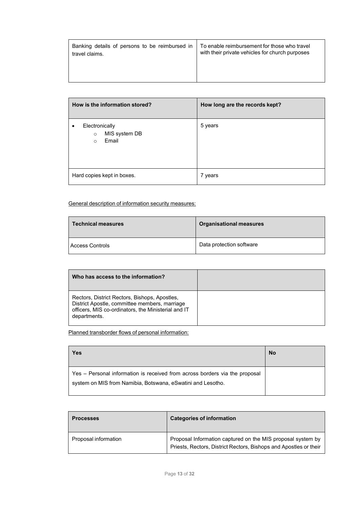| Banking details of persons to be reimbursed in | To enable reimbursement for those who travel    |
|------------------------------------------------|-------------------------------------------------|
| travel claims.                                 | with their private vehicles for church purposes |
|                                                |                                                 |

| How is the information stored?                                 | How long are the records kept? |
|----------------------------------------------------------------|--------------------------------|
| Electronically<br>MIS system DB<br>$\circ$<br>Email<br>$\circ$ | 5 years                        |
| Hard copies kept in boxes.                                     | 7 years                        |

General description of information security measures:

| <b>Technical measures</b> | <b>Organisational measures</b> |
|---------------------------|--------------------------------|
| <b>Access Controls</b>    | Data protection software       |

| Who has access to the information?                                                                                                                                    |  |
|-----------------------------------------------------------------------------------------------------------------------------------------------------------------------|--|
| Rectors, District Rectors, Bishops, Apostles,<br>District Apostle, committee members, marriage<br>officers, MIS co-ordinators, the Ministerial and IT<br>departments. |  |

Planned transborder flows of personal information:

| Yes                                                                                                                                        | No |
|--------------------------------------------------------------------------------------------------------------------------------------------|----|
| Yes – Personal information is received from across borders via the proposal<br>system on MIS from Namibia, Botswana, eSwatini and Lesotho. |    |

| <b>Processes</b>     | <b>Categories of information</b>                                                                                                 |
|----------------------|----------------------------------------------------------------------------------------------------------------------------------|
| Proposal information | Proposal Information captured on the MIS proposal system by<br>Priests, Rectors, District Rectors, Bishops and Apostles or their |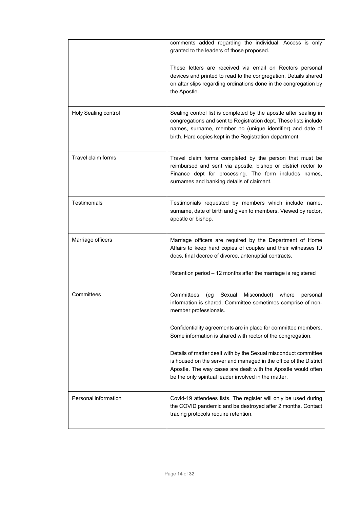|                      | comments added regarding the individual. Access is only<br>granted to the leaders of those proposed.                                                                                                                                                          |
|----------------------|---------------------------------------------------------------------------------------------------------------------------------------------------------------------------------------------------------------------------------------------------------------|
|                      | These letters are received via email on Rectors personal<br>devices and printed to read to the congregation. Details shared<br>on altar slips regarding ordinations done in the congregation by<br>the Apostle.                                               |
| Holy Sealing control | Sealing control list is completed by the apostle after sealing in<br>congregations and sent to Registration dept. These lists include<br>names, surname, member no (unique identifier) and date of<br>birth. Hard copies kept in the Registration department. |
| Travel claim forms   | Travel claim forms completed by the person that must be<br>reimbursed and sent via apostle, bishop or district rector to<br>Finance dept for processing. The form includes names,<br>surnames and banking details of claimant.                                |
| <b>Testimonials</b>  | Testimonials requested by members which include name,<br>surname, date of birth and given to members. Viewed by rector,<br>apostle or bishop.                                                                                                                 |
| Marriage officers    | Marriage officers are required by the Department of Home<br>Affairs to keep hard copies of couples and their witnesses ID<br>docs, final decree of divorce, antenuptial contracts.<br>Retention period - 12 months after the marriage is registered           |
| Committees           | Committees<br>(eg Sexual<br>Misconduct)<br>where<br>personal<br>information is shared. Committee sometimes comprise of non-<br>member professionals.                                                                                                          |
|                      | Confidentiality agreements are in place for committee members.<br>Some information is shared with rector of the congregation.                                                                                                                                 |
|                      | Details of matter dealt with by the Sexual misconduct committee<br>is housed on the server and managed in the office of the District<br>Apostle. The way cases are dealt with the Apostle would often<br>be the only spiritual leader involved in the matter. |
| Personal information | Covid-19 attendees lists. The register will only be used during<br>the COVID pandemic and be destroyed after 2 months. Contact<br>tracing protocols require retention.                                                                                        |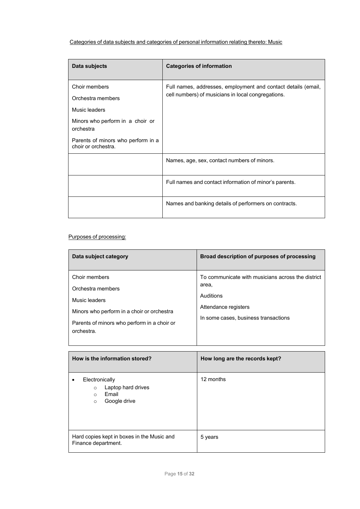## Categories of data subjects and categories of personal information relating thereto: Music

| Data subjects                                             | <b>Categories of information</b>                              |
|-----------------------------------------------------------|---------------------------------------------------------------|
| Choir members                                             | Full names, addresses, employment and contact details (email, |
| Orchestra members                                         | cell numbers) of musicians in local congregations.            |
| Music leaders                                             |                                                               |
| Minors who perform in a choir or<br>orchestra             |                                                               |
| Parents of minors who perform in a<br>choir or orchestra. |                                                               |
|                                                           | Names, age, sex, contact numbers of minors.                   |
|                                                           | Full names and contact information of minor's parents.        |
|                                                           | Names and banking details of performers on contracts.         |

## Purposes of processing:

| Data subject category                                                                                                                                          | Broad description of purposes of processing                                                                                             |
|----------------------------------------------------------------------------------------------------------------------------------------------------------------|-----------------------------------------------------------------------------------------------------------------------------------------|
| Choir members<br>Orchestra members<br>Music leaders<br>Minors who perform in a choir or orchestra<br>Parents of minors who perform in a choir or<br>orchestra. | To communicate with musicians across the district<br>area,<br>Auditions<br>Attendance registers<br>In some cases, business transactions |

| How is the information stored?                                                                 | How long are the records kept? |
|------------------------------------------------------------------------------------------------|--------------------------------|
| Electronically<br>Laptop hard drives<br>$\circ$<br>Email<br>$\circ$<br>Google drive<br>$\circ$ | 12 months                      |
| Hard copies kept in boxes in the Music and<br>Finance department.                              | 5 years                        |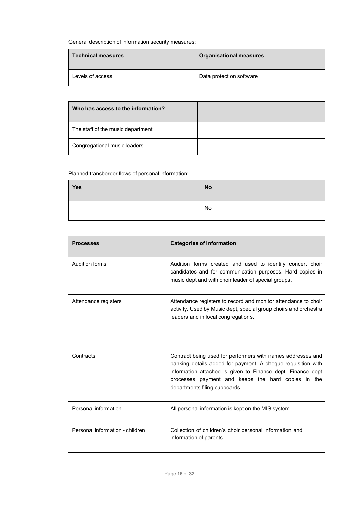General description of information security measures:

| <b>Technical measures</b> | <b>Organisational measures</b> |
|---------------------------|--------------------------------|
| Levels of access          | Data protection software       |

| Who has access to the information? |  |
|------------------------------------|--|
| The staff of the music department  |  |
| Congregational music leaders       |  |

## Planned transborder flows of personal information:

| Yes | <b>No</b> |
|-----|-----------|
|     | No        |

| <b>Processes</b>                | <b>Categories of information</b>                                                                                                                                                                                                                                                  |
|---------------------------------|-----------------------------------------------------------------------------------------------------------------------------------------------------------------------------------------------------------------------------------------------------------------------------------|
| <b>Audition forms</b>           | Audition forms created and used to identify concert choir<br>candidates and for communication purposes. Hard copies in<br>music dept and with choir leader of special groups.                                                                                                     |
| Attendance registers            | Attendance registers to record and monitor attendance to choir<br>activity. Used by Music dept, special group choirs and orchestra<br>leaders and in local congregations.                                                                                                         |
| Contracts                       | Contract being used for performers with names addresses and<br>banking details added for payment. A cheque requisition with<br>information attached is given to Finance dept. Finance dept<br>processes payment and keeps the hard copies in the<br>departments filing cupboards. |
| Personal information            | All personal information is kept on the MIS system                                                                                                                                                                                                                                |
| Personal information - children | Collection of children's choir personal information and<br>information of parents                                                                                                                                                                                                 |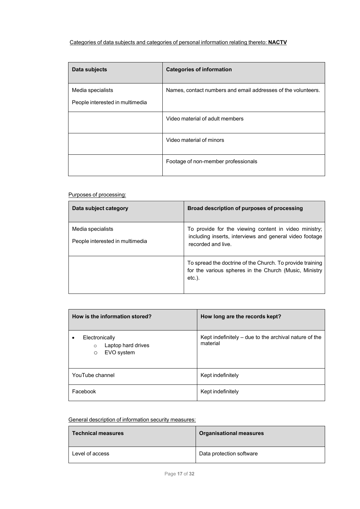## Categories of data subjects and categories of personal information relating thereto: **NACTV**

| Data subjects                                        | <b>Categories of information</b>                              |
|------------------------------------------------------|---------------------------------------------------------------|
| Media specialists<br>People interested in multimedia | Names, contact numbers and email addresses of the volunteers. |
|                                                      | Video material of adult members                               |
|                                                      | Video material of minors                                      |
|                                                      | Footage of non-member professionals                           |

## Purposes of processing:

| Data subject category           | Broad description of purposes of processing                                                                                      |
|---------------------------------|----------------------------------------------------------------------------------------------------------------------------------|
| Media specialists               | To provide for the viewing content in video ministry;                                                                            |
| People interested in multimedia | including inserts, interviews and general video footage<br>recorded and live.                                                    |
|                                 | To spread the doctrine of the Church. To provide training<br>for the various spheres in the Church (Music, Ministry<br>$etc.$ ). |

| How is the information stored?                                           | How long are the records kept?                                    |
|--------------------------------------------------------------------------|-------------------------------------------------------------------|
| Electronically<br>Laptop hard drives<br>$\circ$<br>EVO system<br>$\circ$ | Kept indefinitely - due to the archival nature of the<br>material |
| YouTube channel                                                          | Kept indefinitely                                                 |
| Facebook                                                                 | Kept indefinitely                                                 |

## General description of information security measures:

| <b>Technical measures</b> | <b>Organisational measures</b> |
|---------------------------|--------------------------------|
| Level of access           | Data protection software       |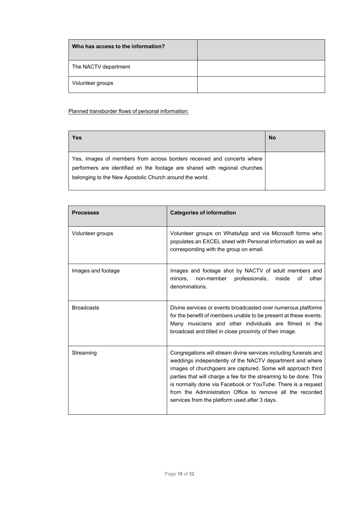| Who has access to the information? |  |
|------------------------------------|--|
| The NACTV department               |  |
| Volunteer groups                   |  |

Planned transborder flows of personal information:

| Yes                                                                                                                                                                                                             | <b>No</b> |
|-----------------------------------------------------------------------------------------------------------------------------------------------------------------------------------------------------------------|-----------|
| Yes, images of members from across borders received and concerts where<br>performers are identified on the footage are shared with regional churches<br>belonging to the New Apostolic Church around the world. |           |

| <b>Processes</b>   | <b>Categories of information</b>                                                                                                                                                                                                                                                                                                                                                                                                                |
|--------------------|-------------------------------------------------------------------------------------------------------------------------------------------------------------------------------------------------------------------------------------------------------------------------------------------------------------------------------------------------------------------------------------------------------------------------------------------------|
| Volunteer groups   | Volunteer groups on WhatsApp and via Microsoft forms who<br>populates an EXCEL sheet with Personal information as well as<br>corresponding with the group on email.                                                                                                                                                                                                                                                                             |
| Images and footage | Images and footage shot by NACTV of adult members and<br>minors.<br>non-member<br>professionals,<br>of<br>other<br>inside<br>denominations.                                                                                                                                                                                                                                                                                                     |
| <b>Broadcasts</b>  | Divine services or events broadcasted over numerous platforms<br>for the benefit of members unable to be present at these events.<br>Many musicians and other individuals are filmed in the<br>broadcast and titled in close proximity of their image.                                                                                                                                                                                          |
| Streaming          | Congregations will stream divine services including funerals and<br>weddings independently of the NACTV department and where<br>images of churchgoers are captured. Some will approach third<br>parties that will charge a fee for the streaming to be done. This<br>is normally done via Facebook or YouTube. There is a request<br>from the Administration Office to remove all the recorded<br>services from the platform used after 3 days. |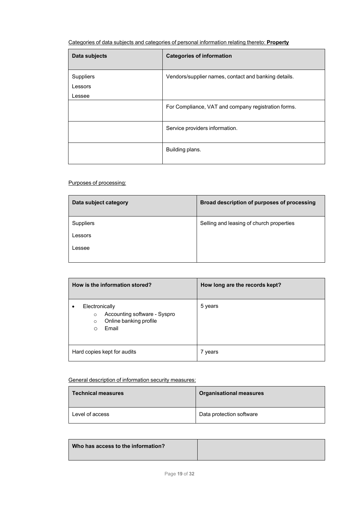# Categories of data subjects and categories of personal information relating thereto: **Property**

| Data subjects                  | <b>Categories of information</b>                     |
|--------------------------------|------------------------------------------------------|
| Suppliers<br>Lessors<br>Lessee | Vendors/supplier names, contact and banking details. |
|                                | For Compliance, VAT and company registration forms.  |
|                                | Service providers information.                       |
|                                | Building plans.                                      |

#### Purposes of processing:

| Data subject category | Broad description of purposes of processing |
|-----------------------|---------------------------------------------|
| <b>Suppliers</b>      | Selling and leasing of church properties    |
| Lessors               |                                             |
| Lessee                |                                             |
|                       |                                             |

| How is the information stored?                                                                               | How long are the records kept? |
|--------------------------------------------------------------------------------------------------------------|--------------------------------|
| Electronically<br>Accounting software - Syspro<br>$\circ$<br>Online banking profile<br>$\circ$<br>Email<br>∩ | 5 years                        |
| Hard copies kept for audits                                                                                  | 7 years                        |

## General description of information security measures:

| <b>Technical measures</b> | <b>Organisational measures</b> |
|---------------------------|--------------------------------|
| Level of access           | Data protection software       |

| Who has access to the information? |  |
|------------------------------------|--|
|                                    |  |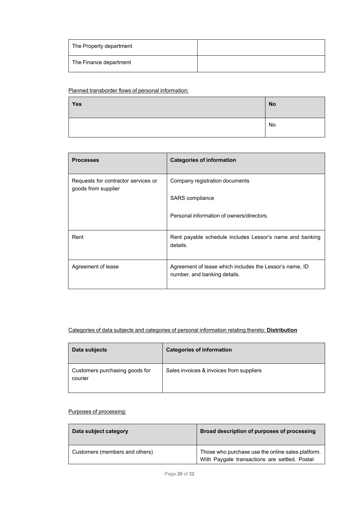| The Property department |  |
|-------------------------|--|
| The Finance department  |  |

#### Planned transborder flows of personal information:

| <b>Yes</b> | <b>No</b> |
|------------|-----------|
|            | No        |

| <b>Processes</b>                                           | <b>Categories of information</b>                                                        |
|------------------------------------------------------------|-----------------------------------------------------------------------------------------|
| Requests for contractor services or<br>goods from supplier | Company registration documents                                                          |
|                                                            | SARS compliance                                                                         |
|                                                            | Personal information of owners/directors.                                               |
| Rent                                                       | Rent payable schedule includes Lessor's name and banking<br>details.                    |
| Agreement of lease                                         | Agreement of lease which includes the Lessor's name, ID<br>number, and banking details. |

## Categories of data subjects and categories of personal information relating thereto: **Distribution**

| Data subjects                             | <b>Categories of information</b>         |
|-------------------------------------------|------------------------------------------|
| Customers purchasing goods for<br>courier | Sales invoices & invoices from suppliers |

## Purposes of processing:

| Data subject category          | Broad description of purposes of processing                                                        |
|--------------------------------|----------------------------------------------------------------------------------------------------|
| Customers (members and others) | Those who purchase use the online sales platform.<br>With Paygate transactions are settled. Postal |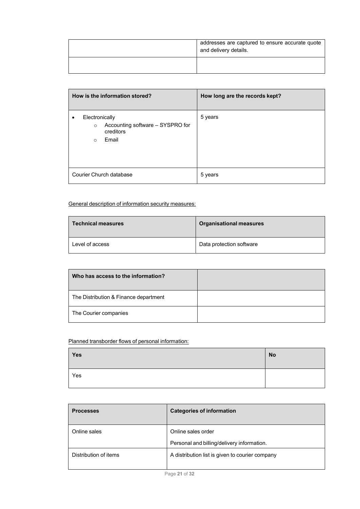| addresses are captured to ensure accurate quote<br>and delivery details. |
|--------------------------------------------------------------------------|
|                                                                          |

| How is the information stored?                                                                 | How long are the records kept? |
|------------------------------------------------------------------------------------------------|--------------------------------|
| Electronically<br>Accounting software - SYSPRO for<br>$\circ$<br>creditors<br>Email<br>$\circ$ | 5 years                        |
| Courier Church database                                                                        | 5 years                        |

General description of information security measures:

| <b>Technical measures</b> | <b>Organisational measures</b> |
|---------------------------|--------------------------------|
| Level of access           | Data protection software       |

| Who has access to the information?    |  |
|---------------------------------------|--|
| The Distribution & Finance department |  |
| The Courier companies                 |  |

# Planned transborder flows of personal information:

| Yes | <b>No</b> |
|-----|-----------|
| Yes |           |

| <b>Processes</b>      | <b>Categories of information</b>                                 |
|-----------------------|------------------------------------------------------------------|
| Online sales          | Online sales order<br>Personal and billing/delivery information. |
| Distribution of items | A distribution list is given to courier company                  |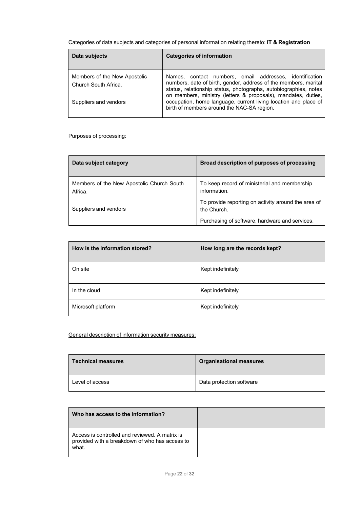| Categories of data subjects and categories of personal information relating thereto: IT & Registration |
|--------------------------------------------------------------------------------------------------------|
|--------------------------------------------------------------------------------------------------------|

| Data subjects                                        | <b>Categories of information</b>                                                                                                                                                                                                                                |
|------------------------------------------------------|-----------------------------------------------------------------------------------------------------------------------------------------------------------------------------------------------------------------------------------------------------------------|
| Members of the New Apostolic<br>Church South Africa. | Names, contact numbers, email addresses, identification<br>numbers, date of birth, gender, address of the members, marital<br>status, relationship status, photographs, autobiographies, notes<br>on members, ministry (letters & proposals), mandates, duties, |
| Suppliers and vendors                                | occupation, home language, current living location and place of<br>birth of members around the NAC-SA region.                                                                                                                                                   |

## Purposes of processing:

| Data subject category                                | Broad description of purposes of processing                        |
|------------------------------------------------------|--------------------------------------------------------------------|
| Members of the New Apostolic Church South<br>Africa. | To keep record of ministerial and membership<br>information.       |
| Suppliers and vendors                                | To provide reporting on activity around the area of<br>the Church. |
|                                                      | Purchasing of software, hardware and services.                     |

| How is the information stored? | How long are the records kept? |
|--------------------------------|--------------------------------|
| On site                        | Kept indefinitely              |
| In the cloud                   | Kept indefinitely              |
| Microsoft platform             | Kept indefinitely              |

General description of information security measures:

| <b>Technical measures</b> | <b>Organisational measures</b> |
|---------------------------|--------------------------------|
| Level of access           | Data protection software       |

| Who has access to the information?                                                                        |  |
|-----------------------------------------------------------------------------------------------------------|--|
| Access is controlled and reviewed. A matrix is<br>provided with a breakdown of who has access to<br>what. |  |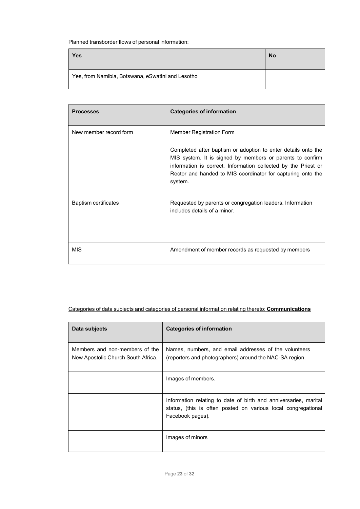Planned transborder flows of personal information:

| Yes                                               | <b>No</b> |
|---------------------------------------------------|-----------|
| Yes, from Namibia, Botswana, eSwatini and Lesotho |           |

| <b>Processes</b>       | <b>Categories of information</b>                                                                                                                                                                                                                                                                   |
|------------------------|----------------------------------------------------------------------------------------------------------------------------------------------------------------------------------------------------------------------------------------------------------------------------------------------------|
| New member record form | Member Registration Form<br>Completed after baptism or adoption to enter details onto the<br>MIS system. It is signed by members or parents to confirm<br>information is correct. Information collected by the Priest or<br>Rector and handed to MIS coordinator for capturing onto the<br>system. |
| Baptism certificates   | Requested by parents or congregation leaders. Information<br>includes details of a minor.                                                                                                                                                                                                          |
| <b>MIS</b>             | Amendment of member records as requested by members                                                                                                                                                                                                                                                |

Categories of data subjects and categories of personal information relating thereto: **Communications**

| Data subjects                                                        | <b>Categories of information</b>                                                                                                                      |
|----------------------------------------------------------------------|-------------------------------------------------------------------------------------------------------------------------------------------------------|
| Members and non-members of the<br>New Apostolic Church South Africa. | Names, numbers, and email addresses of the volunteers<br>(reporters and photographers) around the NAC-SA region.                                      |
|                                                                      | Images of members.                                                                                                                                    |
|                                                                      | Information relating to date of birth and anniversaries, marital<br>status, (this is often posted on various local congregational<br>Facebook pages). |
|                                                                      | Images of minors                                                                                                                                      |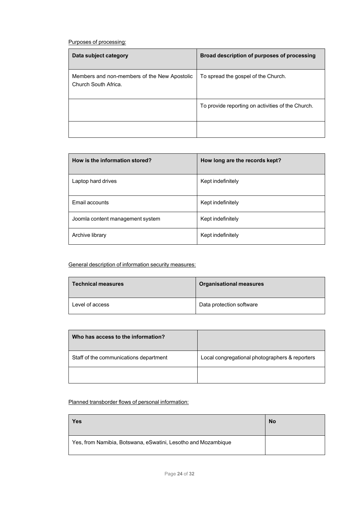Purposes of processing:

| Data subject category                                                | Broad description of purposes of processing       |
|----------------------------------------------------------------------|---------------------------------------------------|
| Members and non-members of the New Apostolic<br>Church South Africa. | To spread the gospel of the Church.               |
|                                                                      | To provide reporting on activities of the Church. |
|                                                                      |                                                   |

| How is the information stored?   | How long are the records kept? |
|----------------------------------|--------------------------------|
| Laptop hard drives               | Kept indefinitely              |
| Email accounts                   | Kept indefinitely              |
| Joomla content management system | Kept indefinitely              |
| Archive library                  | Kept indefinitely              |

## General description of information security measures:

| <b>Technical measures</b> | <b>Organisational measures</b> |
|---------------------------|--------------------------------|
| Level of access           | Data protection software       |

| Who has access to the information?     |                                                |
|----------------------------------------|------------------------------------------------|
| Staff of the communications department | Local congregational photographers & reporters |
|                                        |                                                |

## Planned transborder flows of personal information:

| Yes                                                           | <b>No</b> |
|---------------------------------------------------------------|-----------|
| Yes, from Namibia, Botswana, eSwatini, Lesotho and Mozambique |           |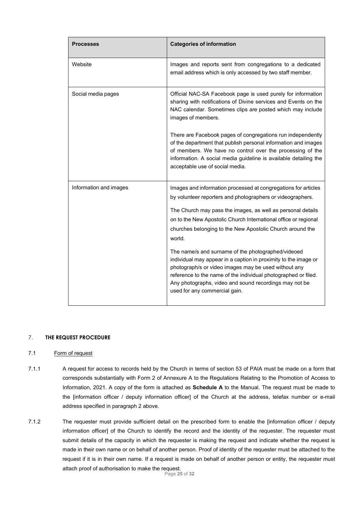| <b>Processes</b>       | <b>Categories of information</b>                                                                                                                                                                                                                                                                                                                                                                                                                                                                                                                                                                                                                   |
|------------------------|----------------------------------------------------------------------------------------------------------------------------------------------------------------------------------------------------------------------------------------------------------------------------------------------------------------------------------------------------------------------------------------------------------------------------------------------------------------------------------------------------------------------------------------------------------------------------------------------------------------------------------------------------|
| Website                | Images and reports sent from congregations to a dedicated<br>email address which is only accessed by two staff member.                                                                                                                                                                                                                                                                                                                                                                                                                                                                                                                             |
| Social media pages     | Official NAC-SA Facebook page is used purely for information<br>sharing with notifications of Divine services and Events on the<br>NAC calendar. Sometimes clips are posted which may include<br>images of members.                                                                                                                                                                                                                                                                                                                                                                                                                                |
|                        | There are Facebook pages of congregations run independently<br>of the department that publish personal information and images<br>of members. We have no control over the processing of the<br>information. A social media guideline is available detailing the<br>acceptable use of social media.                                                                                                                                                                                                                                                                                                                                                  |
| Information and images | Images and information processed at congregations for articles<br>by volunteer reporters and photographers or videographers.<br>The Church may pass the images, as well as personal details<br>on to the New Apostolic Church International office or regional<br>churches belonging to the New Apostolic Church around the<br>world.<br>The name/s and surname of the photographed/videoed<br>individual may appear in a caption in proximity to the image or<br>photograph/s or video images may be used without any<br>reference to the name of the individual photographed or filed.<br>Any photographs, video and sound recordings may not be |
|                        | used for any commercial gain.                                                                                                                                                                                                                                                                                                                                                                                                                                                                                                                                                                                                                      |

#### 7. **THE REQUEST PROCEDURE**

#### 7.1 Form of request

- 7.1.1 A request for access to records held by the Church in terms of section 53 of PAIA must be made on a form that corresponds substantially with Form 2 of Annexure A to the Regulations Relating to the Promotion of Access to Information, 2021. A copy of the form is attached as **Schedule A** to the Manual. The request must be made to the [information officer / deputy information officer] of the Church at the address, telefax number or e-mail address specified in paragraph 2 above.
- Page **25** of **32** 7.1.2 The requester must provide sufficient detail on the prescribed form to enable the [information officer / deputy information officer] of the Church to identify the record and the identity of the requester. The requester must submit details of the capacity in which the requester is making the request and indicate whether the request is made in their own name or on behalf of another person. Proof of identity of the requester must be attached to the request if it is in their own name. If a request is made on behalf of another person or entity, the requester must attach proof of authorisation to make the request.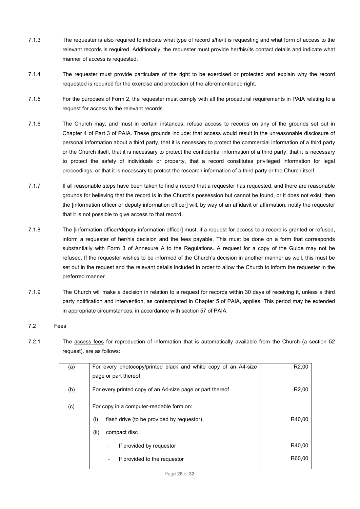- 7.1.3 The requester is also required to indicate what type of record s/he/it is requesting and what form of access to the relevant records is required. Additionally, the requester must provide her/his/its contact details and indicate what manner of access is requested.
- 7.1.4 The requester must provide particulars of the right to be exercised or protected and explain why the record requested is required for the exercise and protection of the aforementioned right.
- 7.1.5 For the purposes of Form 2, the requester must comply with all the procedural requirements in PAIA relating to a request for access to the relevant records.
- 7.1.6 The Church may, and must in certain instances, refuse access to records on any of the grounds set out in Chapter 4 of Part 3 of PAIA. These grounds include: that access would result in the unreasonable disclosure of personal information about a third party, that it is necessary to protect the commercial information of a third party or the Church itself, that it is necessary to protect the confidential information of a third party, that it is necessary to protect the safety of individuals or property, that a record constitutes privileged information for legal proceedings, or that it is necessary to protect the research information of a third party or the Church itself.
- 7.1.7 If all reasonable steps have been taken to find a record that a requester has requested, and there are reasonable grounds for believing that the record is in the Church's possession but cannot be found, or it does not exist, then the [information officer or deputy information officer] will, by way of an affidavit or affirmation, notify the requester that it is not possible to give access to that record.
- 7.1.8 The [information officer/deputy information officer] must, if a request for access to a record is granted or refused, inform a requester of her/his decision and the fees payable. This must be done on a form that corresponds substantially with Form 3 of Annexure A to the Regulations. A request for a copy of the Guide may not be refused. If the requester wishes to be informed of the Church's decision in another manner as well, this must be set out in the request and the relevant details included in order to allow the Church to inform the requester in the preferred manner.
- 7.1.9 The Church will make a decision in relation to a request for records within 30 days of receiving it, unless a third party notification and intervention, as contemplated in Chapter 5 of PAIA, applies. This period may be extended in appropriate circumstances, in accordance with section 57 of PAIA.

#### 7.2 Fees

7.2.1 The access fees for reproduction of information that is automatically available from the Church (a section 52 request), are as follows:

| (a) | For every photocopy/printed black and white copy of an A4-size<br>page or part thereof. | R <sub>2</sub> ,00 |
|-----|-----------------------------------------------------------------------------------------|--------------------|
| (b) | For every printed copy of an A4-size page or part thereof                               | R <sub>2</sub> ,00 |
| (c) | For copy in a computer-readable form on:                                                |                    |
|     | (i)<br>flash drive (to be provided by requestor)                                        | R40.00             |
|     | (ii)<br>compact disc                                                                    |                    |
|     | If provided by requestor<br>-                                                           | R40,00             |
|     | If provided to the requestor<br>-                                                       | R60.00             |
|     |                                                                                         |                    |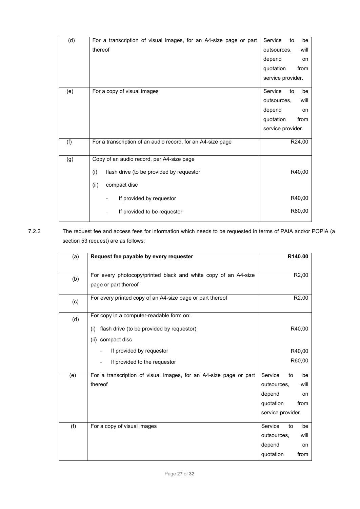|     |                                                                   | Service             |
|-----|-------------------------------------------------------------------|---------------------|
| (d) | For a transcription of visual images, for an A4-size page or part | be<br>to            |
|     | thereof                                                           | outsources,<br>will |
|     |                                                                   | depend<br>on        |
|     |                                                                   | quotation<br>from   |
|     |                                                                   | service provider.   |
| (e) | For a copy of visual images                                       | Service<br>to<br>be |
|     |                                                                   | outsources,<br>will |
|     |                                                                   | depend<br>on        |
|     |                                                                   | from<br>quotation   |
|     |                                                                   | service provider.   |
| (f) | For a transcription of an audio record, for an A4-size page       | R24,00              |
| (g) | Copy of an audio record, per A4-size page                         |                     |
|     | (i)<br>flash drive (to be provided by requestor                   | R40,00              |
|     | (ii)<br>compact disc                                              |                     |
|     | If provided by requestor                                          | R40,00              |
|     | If provided to be requestor                                       | R60,00              |
|     |                                                                   |                     |

7.2.2 The request fee and access fees for information which needs to be requested in terms of PAIA and/or POPIA (a section 53 request) are as follows:

| (a) | Request fee payable by every requester                                                                            |                                                                    | R140.00                        |
|-----|-------------------------------------------------------------------------------------------------------------------|--------------------------------------------------------------------|--------------------------------|
| (b) | For every photocopy/printed black and white copy of an A4-size<br>page or part thereof                            |                                                                    | R <sub>2</sub> ,00             |
| (c) | For every printed copy of an A4-size page or part thereof                                                         |                                                                    | R <sub>2</sub> ,00             |
| (d) | For copy in a computer-readable form on:<br>flash drive (to be provided by requestor)<br>(i)<br>(ii) compact disc |                                                                    | R40,00                         |
|     | If provided by requestor<br>If provided to the requestor                                                          |                                                                    | R40,00<br>R60,00               |
| (e) | For a transcription of visual images, for an A4-size page or part<br>thereof                                      | Service<br>outsources,<br>depend<br>quotation<br>service provider. | to<br>be<br>will<br>on<br>from |
| (f) | For a copy of visual images                                                                                       | Service<br>outsources,<br>depend<br>quotation                      | to<br>be<br>will<br>on<br>from |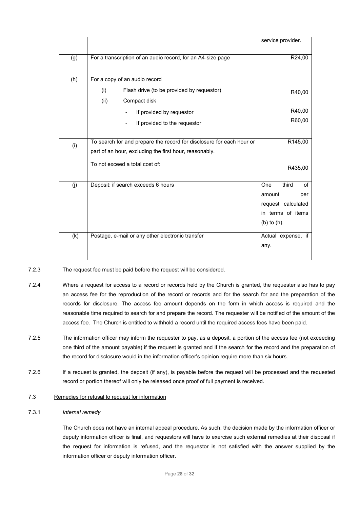|     |                                                                      | service provider.  |
|-----|----------------------------------------------------------------------|--------------------|
| (g) | For a transcription of an audio record, for an A4-size page          | R24,00             |
| (h) | For a copy of an audio record                                        |                    |
|     | (i)<br>Flash drive (to be provided by requestor)                     | R40,00             |
|     | (ii)<br>Compact disk                                                 |                    |
|     | If provided by requestor                                             | R40,00             |
|     | If provided to the requestor                                         | R60,00             |
|     |                                                                      |                    |
| (i) | To search for and prepare the record for disclosure for each hour or | R145,00            |
|     | part of an hour, excluding the first hour, reasonably.               |                    |
|     | To not exceed a total cost of:                                       | R435,00            |
| (j) | Deposit: if search exceeds 6 hours                                   | third<br>One<br>of |
|     |                                                                      | amount<br>per      |
|     |                                                                      | request calculated |
|     |                                                                      | in terms of items  |
|     |                                                                      | $(b)$ to $(h)$ .   |
| (k) | Postage, e-mail or any other electronic transfer                     | Actual expense, if |
|     |                                                                      | any.               |
|     |                                                                      |                    |

7.2.3 The request fee must be paid before the request will be considered.

- 7.2.4 Where a request for access to a record or records held by the Church is granted, the requester also has to pay an access fee for the reproduction of the record or records and for the search for and the preparation of the records for disclosure. The access fee amount depends on the form in which access is required and the reasonable time required to search for and prepare the record. The requester will be notified of the amount of the access fee. The Church is entitled to withhold a record until the required access fees have been paid.
- 7.2.5 The information officer may inform the requester to pay, as a deposit, a portion of the access fee (not exceeding one third of the amount payable) if the request is granted and if the search for the record and the preparation of the record for disclosure would in the information officer's opinion require more than six hours.
- 7.2.6 If a request is granted, the deposit (if any), is payable before the request will be processed and the requested record or portion thereof will only be released once proof of full payment is received.
- 7.3 Remedies for refusal to request for information

#### 7.3.1 *Internal remedy*

The Church does not have an internal appeal procedure. As such, the decision made by the information officer or deputy information officer is final, and requestors will have to exercise such external remedies at their disposal if the request for information is refused, and the requestor is not satisfied with the answer supplied by the information officer or deputy information officer.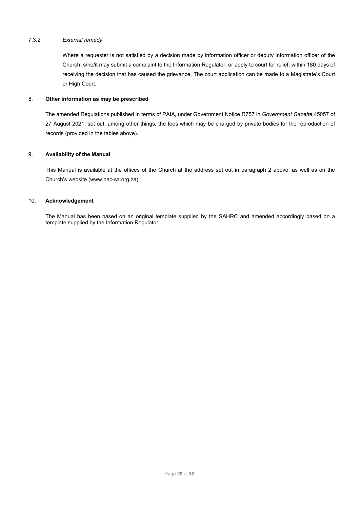#### 7.3.2 *External remedy*

Where a requester is not satisfied by a decision made by information officer or deputy information officer of the Church, s/he/it may submit a complaint to the Information Regulator, or apply to court for relief, within 180 days of receiving the decision that has caused the grievance. The court application can be made to a Magistrate's Court or High Court.

#### 8. **Other information as may be prescribed**

The amended Regulations published in terms of PAIA, under Government Notice R757 in *Government Gazette* 45057 of 27 August 2021, set out, among other things, the fees which may be charged by private bodies for the reproduction of records (provided in the tables above).

#### 9. **Availability of the Manual**

This Manual is available at the offices of the Church at the address set out in paragraph 2 above, as well as on the Church's website (www.nac-sa.org.za).

#### 10. **Acknowledgement**

The Manual has been based on an original template supplied by the SAHRC and amended accordingly based on a template supplied by the Information Regulator.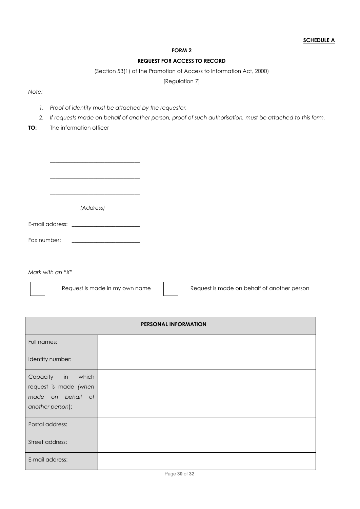## **FORM 2**

## **REQUEST FOR ACCESS TO RECORD**

(Section 53(1) of the Promotion of Access to Information Act, 2000)

[Regulation 7]

*Note:*

*1. Proof of identity must be attached by the requester.* 

\_\_\_\_\_\_\_\_\_\_\_\_\_\_\_\_\_\_\_\_\_\_\_\_\_\_\_\_\_\_\_\_\_

- *2. If requests made on behalf of another person, proof of such authorisation, must be attached to this form.*
- **TO:** The information officer

|                                                                                                                                     | (Address)                                                                                                            |
|-------------------------------------------------------------------------------------------------------------------------------------|----------------------------------------------------------------------------------------------------------------------|
|                                                                                                                                     |                                                                                                                      |
| Fax number:                                                                                                                         | <u> 1980 - Johann Barn, mars eta bainar eta industrial eta erromana eta erromana eta erromana eta erromana eta e</u> |
|                                                                                                                                     |                                                                                                                      |
| $\mathbf{a}$ and $\mathbf{a}$ and $\mathbf{a}$ and $\mathbf{a}$ and $\mathbf{a}$ and $\mathbf{a}$ and $\mathbf{a}$ and $\mathbf{a}$ |                                                                                                                      |

*Mark with an "X"*

Request is made in my own name Request is made on behalf of another person

| PERSONAL INFORMATION                                                                |                |  |  |  |
|-------------------------------------------------------------------------------------|----------------|--|--|--|
| Full names:                                                                         |                |  |  |  |
| Identity number:                                                                    |                |  |  |  |
| Capacity in which<br>request is made (when<br>made on behalf of<br>another person): |                |  |  |  |
| Postal address:                                                                     |                |  |  |  |
| Street address:                                                                     |                |  |  |  |
| E-mail address:                                                                     | $R = AR = RAR$ |  |  |  |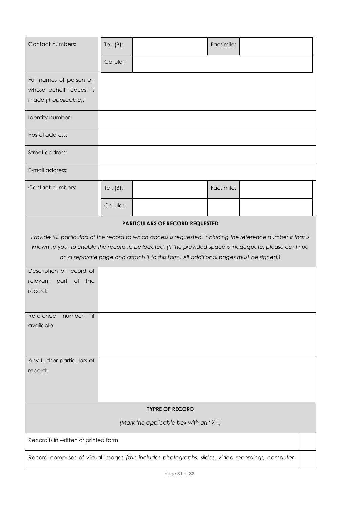| Contact numbers:                                                            | Tel. $(B)$ :                                                                                       |                                                                                                                                                                                                                                                                                                                   | Facsimile: |  |  |
|-----------------------------------------------------------------------------|----------------------------------------------------------------------------------------------------|-------------------------------------------------------------------------------------------------------------------------------------------------------------------------------------------------------------------------------------------------------------------------------------------------------------------|------------|--|--|
|                                                                             | Cellular:                                                                                          |                                                                                                                                                                                                                                                                                                                   |            |  |  |
| Full names of person on<br>whose behalf request is<br>made (if applicable): |                                                                                                    |                                                                                                                                                                                                                                                                                                                   |            |  |  |
| Identity number:                                                            |                                                                                                    |                                                                                                                                                                                                                                                                                                                   |            |  |  |
| Postal address:                                                             |                                                                                                    |                                                                                                                                                                                                                                                                                                                   |            |  |  |
| Street address:                                                             |                                                                                                    |                                                                                                                                                                                                                                                                                                                   |            |  |  |
| E-mail address:                                                             |                                                                                                    |                                                                                                                                                                                                                                                                                                                   |            |  |  |
| Contact numbers:                                                            | Tel. $(B)$ :                                                                                       |                                                                                                                                                                                                                                                                                                                   | Facsimile: |  |  |
|                                                                             | Cellular:                                                                                          |                                                                                                                                                                                                                                                                                                                   |            |  |  |
| Description of record of<br>$\circ$ f<br>relevant<br>part<br>the<br>record: |                                                                                                    | Provide full particulars of the record to which access is requested, including the reference number if that is<br>known to you, to enable the record to be located. (If the provided space is inadequate, please continue<br>on a separate page and attach it to this form. All additional pages must be signed.) |            |  |  |
| if<br>Reference<br>number,<br>available:                                    |                                                                                                    |                                                                                                                                                                                                                                                                                                                   |            |  |  |
| Any further particulars of<br>record:                                       |                                                                                                    |                                                                                                                                                                                                                                                                                                                   |            |  |  |
| <b>TYPRE OF RECORD</b>                                                      |                                                                                                    |                                                                                                                                                                                                                                                                                                                   |            |  |  |
| (Mark the applicable box with an "X".)                                      |                                                                                                    |                                                                                                                                                                                                                                                                                                                   |            |  |  |
|                                                                             | Record is in written or printed form.                                                              |                                                                                                                                                                                                                                                                                                                   |            |  |  |
|                                                                             | Record comprises of virtual images (this includes photographs, slides, video recordings, computer- |                                                                                                                                                                                                                                                                                                                   |            |  |  |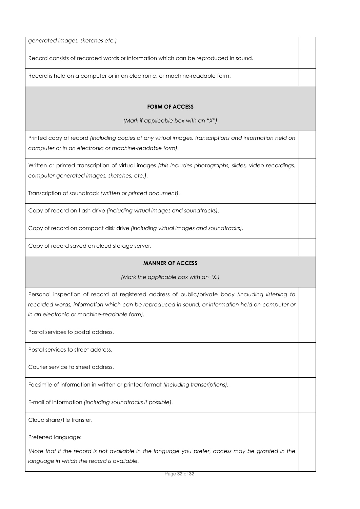*generated images, sketches etc.)*

Record consists of recorded words or information which can be reproduced in sound.

Record is held on a computer or in an electronic, or machine-readable form.

## **FORM OF ACCESS**

*(Mark if applicable box with an "X")*

Printed copy of record *(including copies of any virtual images, transcriptions and information held on computer or in an electronic or machine-readable form).*

Written or printed transcription of virtual images *(this includes photographs, slides, video recordings, computer-generated images, sketches, etc.).*

Transcription of soundtrack *(written or printed document).*

Copy of record on flash drive *(including virtual images and soundtracks).*

Copy of record on compact disk drive *(including virtual images and soundtracks).*

Copy of record saved on cloud storage server.

#### **MANNER OF ACCESS**

*(Mark the applicable box with an "X.)*

Personal inspection of record at registered address of public/private body *(including listening to*  recorded words, information which can be reproduced in sound, or information held on computer or *in an electronic or machine-readable form).*

Postal services to postal address.

Postal services to street address.

Courier service to street address.

Facsimile of information in written or printed format *(including transcriptions).* 

E-mail of information *(including soundtracks if possible).* 

Cloud share/file transfer.

Preferred language:

*(Note that if the record is not available in the language you prefer, access may be granted in the language in which the record is available.*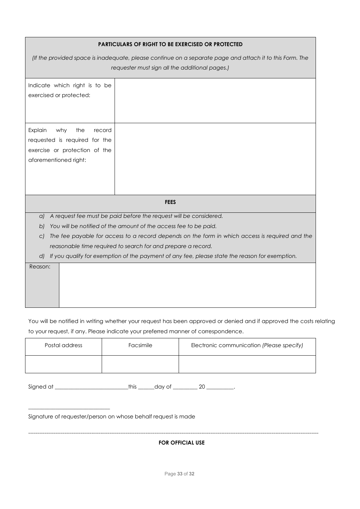| PARTICULARS OF RIGHT TO BE EXERCISED OR PROTECTED                                                                                                          |                                                                                                |  |  |
|------------------------------------------------------------------------------------------------------------------------------------------------------------|------------------------------------------------------------------------------------------------|--|--|
| (If the provided space is inadequate, please continue on a separate page and attach it to this Form. The<br>requester must sign all the additional pages.) |                                                                                                |  |  |
| Indicate which right is to be<br>exercised or protected:                                                                                                   |                                                                                                |  |  |
| Explain<br>why<br>the<br>record<br>requested is required for the<br>exercise or protection of the<br>aforementioned right:                                 |                                                                                                |  |  |
|                                                                                                                                                            | <b>FEES</b>                                                                                    |  |  |
| a)                                                                                                                                                         | A request fee must be paid before the request will be considered.                              |  |  |
| b)                                                                                                                                                         | You will be notified of the amount of the access fee to be paid.                               |  |  |
| C)                                                                                                                                                         | The fee payable for access to a record depends on the form in which access is required and the |  |  |
| reasonable time required to search for and prepare a record.                                                                                               |                                                                                                |  |  |
| dl                                                                                                                                                         | If you qualify for exemption of the payment of any fee, please state the reason for exemption. |  |  |
| Reason:                                                                                                                                                    |                                                                                                |  |  |

You will be notified in writing whether your request has been approved or denied and if approved the costs relating to your request, if any. Please indicate your preferred manner of correspondence.

| Postal address | Facsimile | Electronic communication (Please specify) |
|----------------|-----------|-------------------------------------------|
|                |           |                                           |

Signed at \_\_\_\_\_\_\_\_\_\_\_\_\_\_\_\_\_\_\_\_\_\_\_\_\_\_\_this \_\_\_\_\_\_day of \_\_\_\_\_\_\_\_\_ 20 \_\_\_\_\_\_\_\_\_\_.

Signature of requester/person on whose behalf request is made

\_\_\_\_\_\_\_\_\_\_\_\_\_\_\_\_\_\_\_\_\_\_\_\_\_\_\_\_\_\_

**FOR OFFICIAL USE**

-----------------------------------------------------------------------------------------------------------------------------------------------------------------